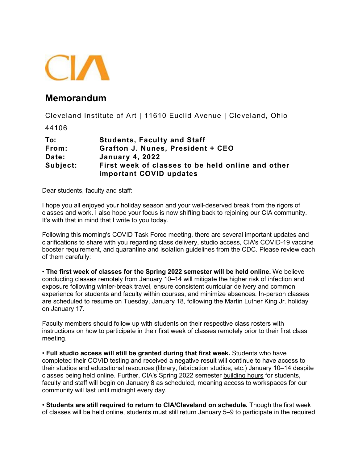

## **Memorandum**

Cleveland Institute of Art | 11610 Euclid Avenue | Cleveland, Ohio

44106

| To:      | <b>Students, Faculty and Staff</b>                |
|----------|---------------------------------------------------|
| From:    | Grafton J. Nunes, President + CEO                 |
| Date:    | <b>January 4, 2022</b>                            |
| Subject: | First week of classes to be held online and other |
|          | important COVID updates                           |

Dear students, faculty and staff:

I hope you all enjoyed your holiday season and your well-deserved break from the rigors of classes and work. I also hope your focus is now shifting back to rejoining our CIA community. It's with that in mind that I write to you today.

Following this morning's COVID Task Force meeting, there are several important updates and clarifications to share with you regarding class delivery, studio access, CIA's COVID-19 vaccine booster requirement, and quarantine and isolation guidelines from the CDC. Please review each of them carefully:

• **The first week of classes for the Spring 2022 semester will be held online.** We believe conducting classes remotely from January 10–14 will mitigate the higher risk of infection and exposure following winter-break travel, ensure consistent curricular delivery and common experience for students and faculty within courses, and minimize absences. In-person classes are scheduled to resume on Tuesday, January 18, following the Martin Luther King Jr. holiday on January 17.

Faculty members should follow up with students on their respective class rosters with instructions on how to participate in their first week of classes remotely prior to their first class meeting.

• **Full studio access will still be granted during that first week.** Students who have completed their COVID testing and received a negative result will continue to have access to their studios and educational resources (library, fabrication studios, etc.) January 10–14 despite classes being held online. Further, CIA's Spring 2022 semester [building hours](https://nam10.safelinks.protection.outlook.com/?url=https%3A%2F%2Fmy.cia.edu%2FICS%2FFacilities%2F&data=04%7C01%7Cmcbutz%40cia.edu%7Caeb6918883614c56cb7808d9cfbe94e0%7C42ce327f3e7b42b098a675f41204ca58%7C1%7C0%7C637769239711605659%7CUnknown%7CTWFpbGZsb3d8eyJWIjoiMC4wLjAwMDAiLCJQIjoiV2luMzIiLCJBTiI6Ik1haWwiLCJXVCI6Mn0%3D%7C3000&sdata=z2jPu%2FzEZPYNKGIMu7sG0ybTpR7jP%2FyrXrxIBeLjYC0%3D&reserved=0) for students, faculty and staff will begin on January 8 as scheduled, meaning access to workspaces for our community will last until midnight every day.

• **Students are still required to return to CIA/Cleveland on schedule.** Though the first week of classes will be held online, students must still return January 5–9 to participate in the required